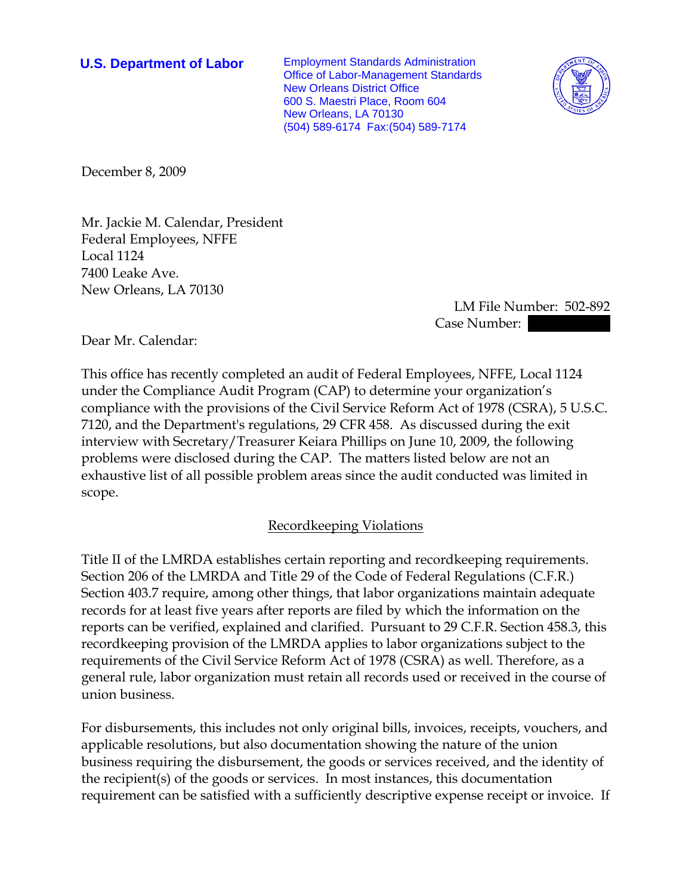**U.S. Department of Labor** Employment Standards Administration Office of Labor-Management Standards New Orleans District Office 600 S. Maestri Place, Room 604 New Orleans, LA 70130 (504) 589-6174 Fax:(504) 589-7174



December 8, 2009

Mr. Jackie M. Calendar, President Federal Employees, NFFE Local 1124 7400 Leake Ave. New Orleans, LA 70130

 LM File Number: 502-892 Case Number:

Dear Mr. Calendar:

This office has recently completed an audit of Federal Employees, NFFE, Local 1124 under the Compliance Audit Program (CAP) to determine your organization's compliance with the provisions of the Civil Service Reform Act of 1978 (CSRA), 5 U.S.C. 7120, and the Department's regulations, 29 CFR 458. As discussed during the exit interview with Secretary/Treasurer Keiara Phillips on June 10, 2009, the following problems were disclosed during the CAP. The matters listed below are not an exhaustive list of all possible problem areas since the audit conducted was limited in scope.

## Recordkeeping Violations

Title II of the LMRDA establishes certain reporting and recordkeeping requirements. Section 206 of the LMRDA and Title 29 of the Code of Federal Regulations (C.F.R.) Section 403.7 require, among other things, that labor organizations maintain adequate records for at least five years after reports are filed by which the information on the reports can be verified, explained and clarified. Pursuant to 29 C.F.R. Section 458.3, this recordkeeping provision of the LMRDA applies to labor organizations subject to the requirements of the Civil Service Reform Act of 1978 (CSRA) as well. Therefore, as a general rule, labor organization must retain all records used or received in the course of union business.

For disbursements, this includes not only original bills, invoices, receipts, vouchers, and applicable resolutions, but also documentation showing the nature of the union business requiring the disbursement, the goods or services received, and the identity of the recipient(s) of the goods or services. In most instances, this documentation requirement can be satisfied with a sufficiently descriptive expense receipt or invoice. If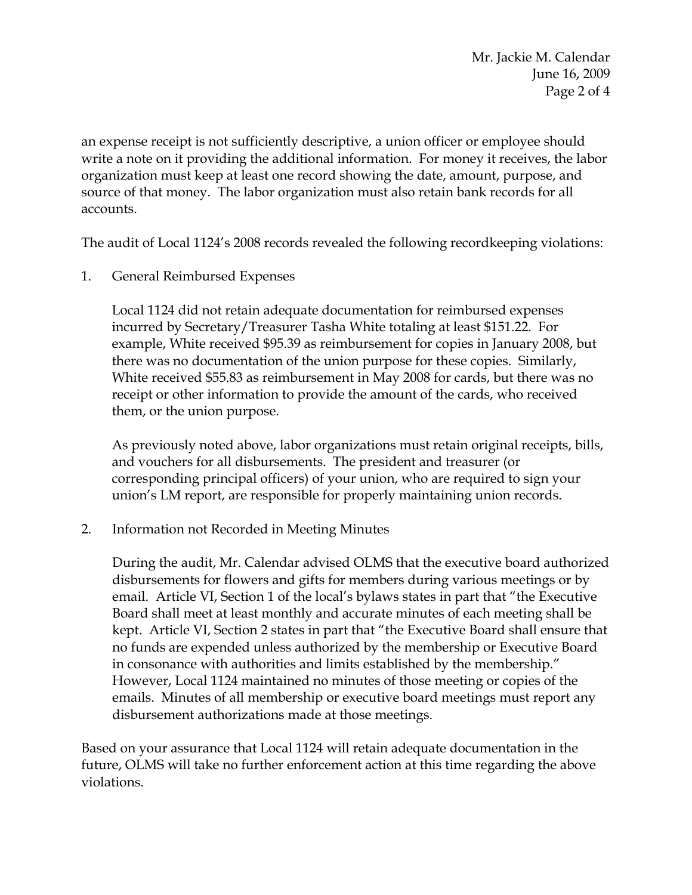an expense receipt is not sufficiently descriptive, a union officer or employee should write a note on it providing the additional information. For money it receives, the labor organization must keep at least one record showing the date, amount, purpose, and source of that money. The labor organization must also retain bank records for all accounts.

The audit of Local 1124's 2008 records revealed the following recordkeeping violations:

1. General Reimbursed Expenses

Local 1124 did not retain adequate documentation for reimbursed expenses incurred by Secretary/Treasurer Tasha White totaling at least \$151.22. For example, White received \$95.39 as reimbursement for copies in January 2008, but there was no documentation of the union purpose for these copies. Similarly, White received \$55.83 as reimbursement in May 2008 for cards, but there was no receipt or other information to provide the amount of the cards, who received them, or the union purpose.

As previously noted above, labor organizations must retain original receipts, bills, and vouchers for all disbursements. The president and treasurer (or corresponding principal officers) of your union, who are required to sign your union's LM report, are responsible for properly maintaining union records.

2. Information not Recorded in Meeting Minutes

During the audit, Mr. Calendar advised OLMS that the executive board authorized disbursements for flowers and gifts for members during various meetings or by email. Article VI, Section 1 of the local's bylaws states in part that "the Executive Board shall meet at least monthly and accurate minutes of each meeting shall be kept. Article VI, Section 2 states in part that "the Executive Board shall ensure that no funds are expended unless authorized by the membership or Executive Board in consonance with authorities and limits established by the membership." However, Local 1124 maintained no minutes of those meeting or copies of the emails. Minutes of all membership or executive board meetings must report any disbursement authorizations made at those meetings.

Based on your assurance that Local 1124 will retain adequate documentation in the future, OLMS will take no further enforcement action at this time regarding the above violations.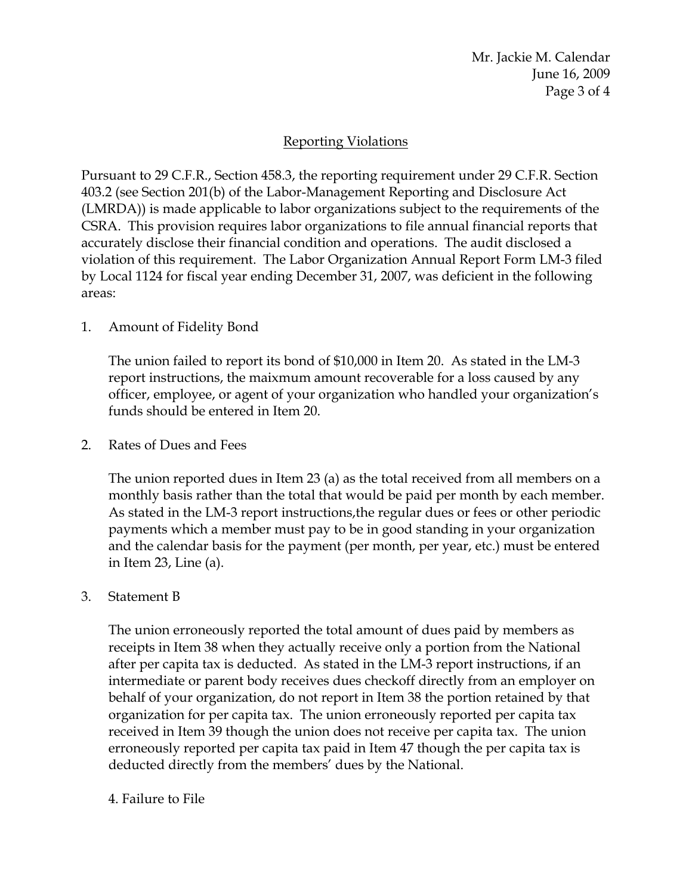## Reporting Violations

Pursuant to 29 C.F.R., Section 458.3, the reporting requirement under 29 C.F.R. Section 403.2 (see Section 201(b) of the Labor-Management Reporting and Disclosure Act (LMRDA)) is made applicable to labor organizations subject to the requirements of the CSRA. This provision requires labor organizations to file annual financial reports that accurately disclose their financial condition and operations. The audit disclosed a violation of this requirement. The Labor Organization Annual Report Form LM-3 filed by Local 1124 for fiscal year ending December 31, 2007, was deficient in the following areas:

## 1. Amount of Fidelity Bond

The union failed to report its bond of \$10,000 in Item 20. As stated in the LM-3 report instructions, the maixmum amount recoverable for a loss caused by any officer, employee, or agent of your organization who handled your organization's funds should be entered in Item 20.

# 2. Rates of Dues and Fees

The union reported dues in Item 23 (a) as the total received from all members on a monthly basis rather than the total that would be paid per month by each member. As stated in the LM-3 report instructions,the regular dues or fees or other periodic payments which a member must pay to be in good standing in your organization and the calendar basis for the payment (per month, per year, etc.) must be entered in Item 23, Line (a).

## 3. Statement B

The union erroneously reported the total amount of dues paid by members as receipts in Item 38 when they actually receive only a portion from the National after per capita tax is deducted. As stated in the LM-3 report instructions, if an intermediate or parent body receives dues checkoff directly from an employer on behalf of your organization, do not report in Item 38 the portion retained by that organization for per capita tax. The union erroneously reported per capita tax received in Item 39 though the union does not receive per capita tax. The union erroneously reported per capita tax paid in Item 47 though the per capita tax is deducted directly from the members' dues by the National.

## 4. Failure to File